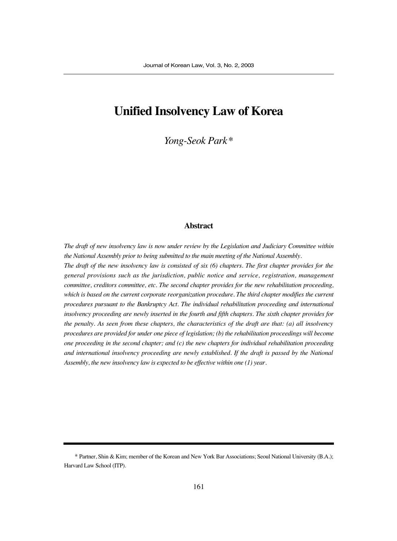# **Unified Insolvency Law of Korea**

*Yong-Seok Park\**

### **Abstract**

*The draft of new insolvency law is now under review by the Legislation and Judiciary Committee within the National Assembly prior to being submitted to the main meeting of the National Assembly.* 

*The draft of the new insolvency law is consisted of six (6) chapters. The first chapter provides for the general provisions such as the jurisdiction, public notice and service, registration, management committee, creditors committee, etc. The second chapter provides for the new rehabilitation proceeding, which is based on the current corporate reorganization procedure. The third chapter modifies the current procedures pursuant to the Bankruptcy Act. The individual rehabilitation proceeding and international insolvency proceeding are newly inserted in the fourth and fifth chapters. The sixth chapter provides for the penalty. As seen from these chapters, the characteristics of the draft are that: (a) all insolvency procedures are provided for under one piece of legislation; (b) the rehabilitation proceedings will become one proceeding in the second chapter; and (c) the new chapters for individual rehabilitation proceeding and international insolvency proceeding are newly established. If the draft is passed by the National Assembly, the new insolvency law is expected to be effective within one (1) year.* 

<sup>\*</sup> Partner, Shin & Kim; member of the Korean and New York Bar Associations; Seoul National University (B.A.); Harvard Law School (ITP).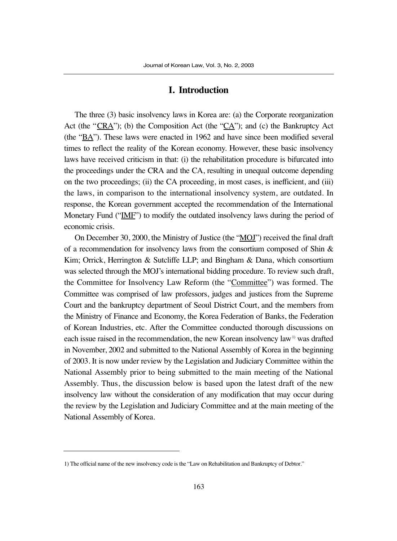# **I. Introduction**

The three (3) basic insolvency laws in Korea are: (a) the Corporate reorganization Act (the " $CRA$ "); (b) the Composition Act (the " $CA$ "); and (c) the Bankruptcy Act (the "BA"). These laws were enacted in 1962 and have since been modified several times to reflect the reality of the Korean economy. However, these basic insolvency laws have received criticism in that: (i) the rehabilitation procedure is bifurcated into the proceedings under the CRA and the CA, resulting in unequal outcome depending on the two proceedings; (ii) the CA proceeding, in most cases, is inefficient, and (iii) the laws, in comparison to the international insolvency system, are outdated. In response, the Korean government accepted the recommendation of the International Monetary Fund ("IMF") to modify the outdated insolvency laws during the period of economic crisis.

On December 30, 2000, the Ministry of Justice (the "MOJ") received the final draft of a recommendation for insolvency laws from the consortium composed of Shin & Kim; Orrick, Herrington & Sutcliffe LLP; and Bingham & Dana, which consortium was selected through the MOJ's international bidding procedure. To review such draft, the Committee for Insolvency Law Reform (the "Committee") was formed. The Committee was comprised of law professors, judges and justices from the Supreme Court and the bankruptcy department of Seoul District Court, and the members from the Ministry of Finance and Economy, the Korea Federation of Banks, the Federation of Korean Industries, etc. After the Committee conducted thorough discussions on each issue raised in the recommendation, the new Korean insolvency law<sup>1)</sup> was drafted in November, 2002 and submitted to the National Assembly of Korea in the beginning of 2003. It is now under review by the Legislation and Judiciary Committee within the National Assembly prior to being submitted to the main meeting of the National Assembly. Thus, the discussion below is based upon the latest draft of the new insolvency law without the consideration of any modification that may occur during the review by the Legislation and Judiciary Committee and at the main meeting of the National Assembly of Korea.

<sup>1)</sup> The official name of the new insolvency code is the "Law on Rehabilitation and Bankruptcy of Debtor."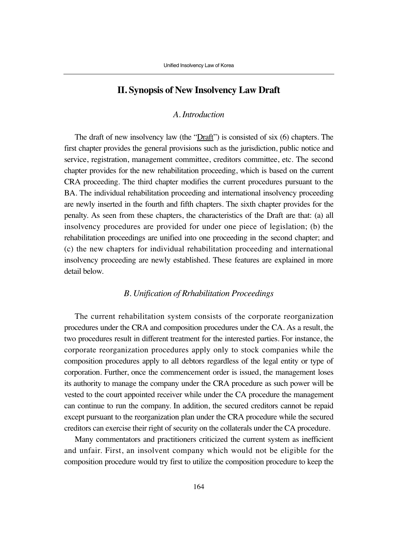# **II. Synopsis of New Insolvency Law Draft**

#### *A. Introduction*

The draft of new insolvency law (the "Draft") is consisted of six (6) chapters. The first chapter provides the general provisions such as the jurisdiction, public notice and service, registration, management committee, creditors committee, etc. The second chapter provides for the new rehabilitation proceeding, which is based on the current CRA proceeding. The third chapter modifies the current procedures pursuant to the BA. The individual rehabilitation proceeding and international insolvency proceeding are newly inserted in the fourth and fifth chapters. The sixth chapter provides for the penalty. As seen from these chapters, the characteristics of the Draft are that: (a) all insolvency procedures are provided for under one piece of legislation; (b) the rehabilitation proceedings are unified into one proceeding in the second chapter; and (c) the new chapters for individual rehabilitation proceeding and international insolvency proceeding are newly established. These features are explained in more detail below.

#### *B. Unification of Rrhabilitation Proceedings*

The current rehabilitation system consists of the corporate reorganization procedures under the CRA and composition procedures under the CA. As a result, the two procedures result in different treatment for the interested parties. For instance, the corporate reorganization procedures apply only to stock companies while the composition procedures apply to all debtors regardless of the legal entity or type of corporation. Further, once the commencement order is issued, the management loses its authority to manage the company under the CRA procedure as such power will be vested to the court appointed receiver while under the CA procedure the management can continue to run the company. In addition, the secured creditors cannot be repaid except pursuant to the reorganization plan under the CRA procedure while the secured creditors can exercise their right of security on the collaterals under the CA procedure.

Many commentators and practitioners criticized the current system as inefficient and unfair. First, an insolvent company which would not be eligible for the composition procedure would try first to utilize the composition procedure to keep the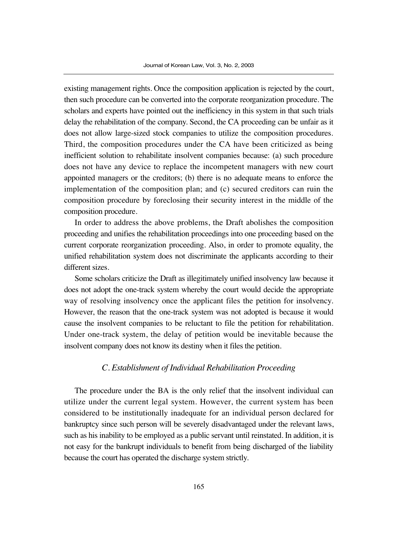existing management rights. Once the composition application is rejected by the court, then such procedure can be converted into the corporate reorganization procedure. The scholars and experts have pointed out the inefficiency in this system in that such trials delay the rehabilitation of the company. Second, the CA proceeding can be unfair as it does not allow large-sized stock companies to utilize the composition procedures. Third, the composition procedures under the CA have been criticized as being inefficient solution to rehabilitate insolvent companies because: (a) such procedure does not have any device to replace the incompetent managers with new court appointed managers or the creditors; (b) there is no adequate means to enforce the implementation of the composition plan; and (c) secured creditors can ruin the composition procedure by foreclosing their security interest in the middle of the composition procedure.

In order to address the above problems, the Draft abolishes the composition proceeding and unifies the rehabilitation proceedings into one proceeding based on the current corporate reorganization proceeding. Also, in order to promote equality, the unified rehabilitation system does not discriminate the applicants according to their different sizes.

Some scholars criticize the Draft as illegitimately unified insolvency law because it does not adopt the one-track system whereby the court would decide the appropriate way of resolving insolvency once the applicant files the petition for insolvency. However, the reason that the one-track system was not adopted is because it would cause the insolvent companies to be reluctant to file the petition for rehabilitation. Under one-track system, the delay of petition would be inevitable because the insolvent company does not know its destiny when it files the petition.

#### *C. Establishment of Individual Rehabilitation Proceeding*

The procedure under the BA is the only relief that the insolvent individual can utilize under the current legal system. However, the current system has been considered to be institutionally inadequate for an individual person declared for bankruptcy since such person will be severely disadvantaged under the relevant laws, such as his inability to be employed as a public servant until reinstated. In addition, it is not easy for the bankrupt individuals to benefit from being discharged of the liability because the court has operated the discharge system strictly.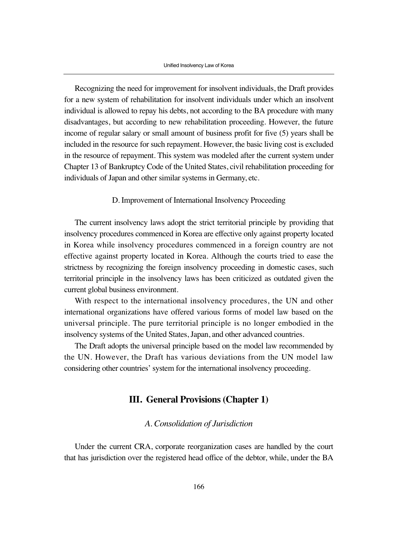Recognizing the need for improvement for insolvent individuals, the Draft provides for a new system of rehabilitation for insolvent individuals under which an insolvent individual is allowed to repay his debts, not according to the BA procedure with many disadvantages, but according to new rehabilitation proceeding. However, the future income of regular salary or small amount of business profit for five (5) years shall be included in the resource for such repayment. However, the basic living cost is excluded in the resource of repayment. This system was modeled after the current system under Chapter 13 of Bankruptcy Code of the United States, civil rehabilitation proceeding for individuals of Japan and other similar systems in Germany, etc.

### D. Improvement of International Insolvency Proceeding

The current insolvency laws adopt the strict territorial principle by providing that insolvency procedures commenced in Korea are effective only against property located in Korea while insolvency procedures commenced in a foreign country are not effective against property located in Korea. Although the courts tried to ease the strictness by recognizing the foreign insolvency proceeding in domestic cases, such territorial principle in the insolvency laws has been criticized as outdated given the current global business environment.

With respect to the international insolvency procedures, the UN and other international organizations have offered various forms of model law based on the universal principle. The pure territorial principle is no longer embodied in the insolvency systems of the United States, Japan, and other advanced countries.

The Draft adopts the universal principle based on the model law recommended by the UN. However, the Draft has various deviations from the UN model law considering other countries' system for the international insolvency proceeding.

# **III. General Provisions (Chapter 1)**

### *A. Consolidation of Jurisdiction*

Under the current CRA, corporate reorganization cases are handled by the court that has jurisdiction over the registered head office of the debtor, while, under the BA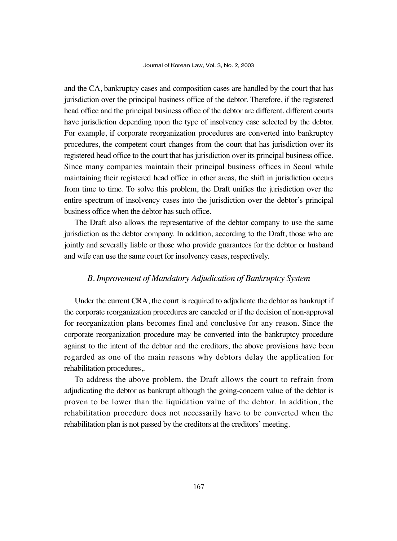and the CA, bankruptcy cases and composition cases are handled by the court that has jurisdiction over the principal business office of the debtor. Therefore, if the registered head office and the principal business office of the debtor are different, different courts have jurisdiction depending upon the type of insolvency case selected by the debtor. For example, if corporate reorganization procedures are converted into bankruptcy procedures, the competent court changes from the court that has jurisdiction over its registered head office to the court that has jurisdiction over its principal business office. Since many companies maintain their principal business offices in Seoul while maintaining their registered head office in other areas, the shift in jurisdiction occurs from time to time. To solve this problem, the Draft unifies the jurisdiction over the entire spectrum of insolvency cases into the jurisdiction over the debtor's principal business office when the debtor has such office.

The Draft also allows the representative of the debtor company to use the same jurisdiction as the debtor company. In addition, according to the Draft, those who are jointly and severally liable or those who provide guarantees for the debtor or husband and wife can use the same court for insolvency cases, respectively.

#### *B. Improvement of Mandatory Adjudication of Bankruptcy System*

Under the current CRA, the court is required to adjudicate the debtor as bankrupt if the corporate reorganization procedures are canceled or if the decision of non-approval for reorganization plans becomes final and conclusive for any reason. Since the corporate reorganization procedure may be converted into the bankruptcy procedure against to the intent of the debtor and the creditors, the above provisions have been regarded as one of the main reasons why debtors delay the application for rehabilitation procedures,.

To address the above problem, the Draft allows the court to refrain from adjudicating the debtor as bankrupt although the going-concern value of the debtor is proven to be lower than the liquidation value of the debtor. In addition, the rehabilitation procedure does not necessarily have to be converted when the rehabilitation plan is not passed by the creditors at the creditors' meeting.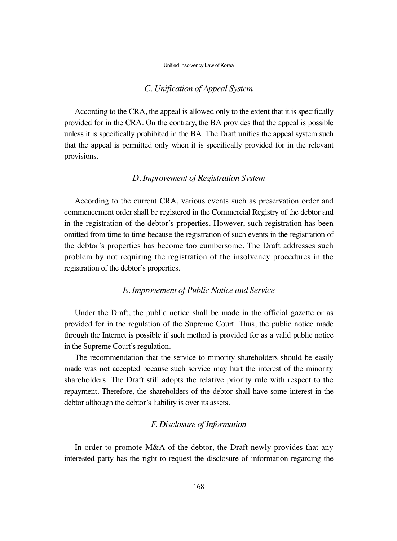### *C. Unification of Appeal System*

According to the CRA, the appeal is allowed only to the extent that it is specifically provided for in the CRA. On the contrary, the BA provides that the appeal is possible unless it is specifically prohibited in the BA. The Draft unifies the appeal system such that the appeal is permitted only when it is specifically provided for in the relevant provisions.

#### *D. Improvement of Registration System*

According to the current CRA, various events such as preservation order and commencement order shall be registered in the Commercial Registry of the debtor and in the registration of the debtor's properties. However, such registration has been omitted from time to time because the registration of such events in the registration of the debtor's properties has become too cumbersome. The Draft addresses such problem by not requiring the registration of the insolvency procedures in the registration of the debtor's properties.

#### *E. Improvement of Public Notice and Service*

Under the Draft, the public notice shall be made in the official gazette or as provided for in the regulation of the Supreme Court. Thus, the public notice made through the Internet is possible if such method is provided for as a valid public notice in the Supreme Court's regulation.

The recommendation that the service to minority shareholders should be easily made was not accepted because such service may hurt the interest of the minority shareholders. The Draft still adopts the relative priority rule with respect to the repayment. Therefore, the shareholders of the debtor shall have some interest in the debtor although the debtor's liability is over its assets.

# *F. Disclosure of Information*

In order to promote M&A of the debtor, the Draft newly provides that any interested party has the right to request the disclosure of information regarding the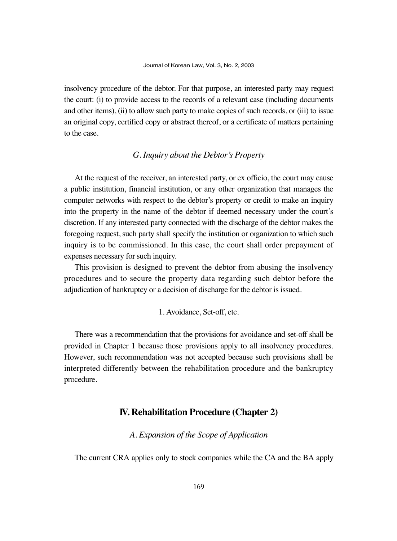insolvency procedure of the debtor. For that purpose, an interested party may request the court: (i) to provide access to the records of a relevant case (including documents and other items), (ii) to allow such party to make copies of such records, or (iii) to issue an original copy, certified copy or abstract thereof, or a certificate of matters pertaining to the case.

### *G. Inquiry about the Debtor's Property*

At the request of the receiver, an interested party, or ex officio, the court may cause a public institution, financial institution, or any other organization that manages the computer networks with respect to the debtor's property or credit to make an inquiry into the property in the name of the debtor if deemed necessary under the court's discretion. If any interested party connected with the discharge of the debtor makes the foregoing request, such party shall specify the institution or organization to which such inquiry is to be commissioned. In this case, the court shall order prepayment of expenses necessary for such inquiry.

This provision is designed to prevent the debtor from abusing the insolvency procedures and to secure the property data regarding such debtor before the adjudication of bankruptcy or a decision of discharge for the debtor is issued.

1. Avoidance, Set-off, etc.

There was a recommendation that the provisions for avoidance and set-off shall be provided in Chapter 1 because those provisions apply to all insolvency procedures. However, such recommendation was not accepted because such provisions shall be interpreted differently between the rehabilitation procedure and the bankruptcy procedure.

# **IV. Rehabilitation Procedure (Chapter 2)**

### *A. Expansion of the Scope of Application*

The current CRA applies only to stock companies while the CA and the BA apply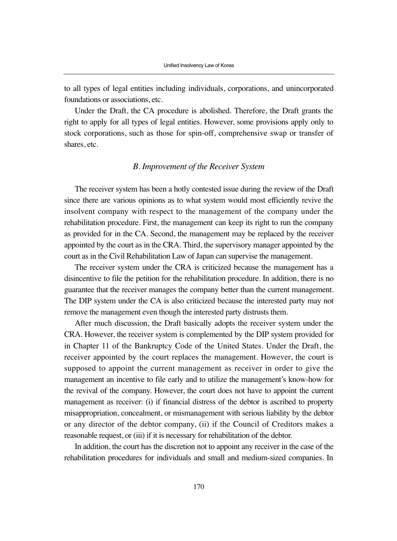to all types of legal entities including individuals, corporations, and unincorporated foundations or associations, etc.

Under the Draft, the CA procedure is abolished. Therefore, the Draft grants the right to apply for all types of legal entities. However, some provisions apply only to stock corporations, such as those for spin-off, comprehensive swap or transfer of shares, etc.

#### *B. Improvement of the Receiver System*

The receiver system has been a hotly contested issue during the review of the Draft since there are various opinions as to what system would most efficiently revive the insolvent company with respect to the management of the company under the rehabilitation procedure. First, the management can keep its right to run the company as provided for in the CA. Second, the management may be replaced by the receiver appointed by the court as in the CRA. Third, the supervisory manager appointed by the court as in the Civil Rehabilitation Law of Japan can supervise the management.

The receiver system under the CRA is criticized because the management has a disincentive to file the petition for the rehabilitation procedure. In addition, there is no guarantee that the receiver manages the company better than the current management. The DIP system under the CA is also criticized because the interested party may not remove the management even though the interested party distrusts them.

After much discussion, the Draft basically adopts the receiver system under the CRA. However, the receiver system is complemented by the DIP system provided for in Chapter 11 of the Bankruptcy Code of the United States. Under the Draft, the receiver appointed by the court replaces the management. However, the court is supposed to appoint the current management as receiver in order to give the management an incentive to file early and to utilize the management's know-how for the revival of the company. However, the court does not have to appoint the current management as receiver: (i) if financial distress of the debtor is ascribed to property misappropriation, concealment, or mismanagement with serious liability by the debtor or any director of the debtor company, (ii) if the Council of Creditors makes a reasonable request, or (iii) if it is necessary for rehabilitation of the debtor.

In addition, the court has the discretion not to appoint any receiver in the case of the rehabilitation procedures for individuals and small and medium-sized companies. In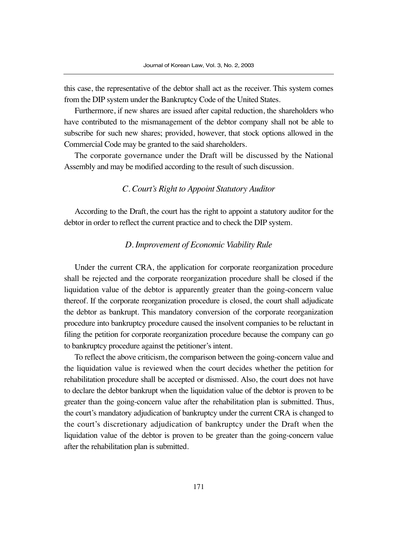this case, the representative of the debtor shall act as the receiver. This system comes from the DIP system under the Bankruptcy Code of the United States.

Furthermore, if new shares are issued after capital reduction, the shareholders who have contributed to the mismanagement of the debtor company shall not be able to subscribe for such new shares; provided, however, that stock options allowed in the Commercial Code may be granted to the said shareholders.

The corporate governance under the Draft will be discussed by the National Assembly and may be modified according to the result of such discussion.

### *C. Court's Right to Appoint Statutory Auditor*

According to the Draft, the court has the right to appoint a statutory auditor for the debtor in order to reflect the current practice and to check the DIP system.

### *D. Improvement of Economic Viability Rule*

Under the current CRA, the application for corporate reorganization procedure shall be rejected and the corporate reorganization procedure shall be closed if the liquidation value of the debtor is apparently greater than the going-concern value thereof. If the corporate reorganization procedure is closed, the court shall adjudicate the debtor as bankrupt. This mandatory conversion of the corporate reorganization procedure into bankruptcy procedure caused the insolvent companies to be reluctant in filing the petition for corporate reorganization procedure because the company can go to bankruptcy procedure against the petitioner's intent.

To reflect the above criticism, the comparison between the going-concern value and the liquidation value is reviewed when the court decides whether the petition for rehabilitation procedure shall be accepted or dismissed. Also, the court does not have to declare the debtor bankrupt when the liquidation value of the debtor is proven to be greater than the going-concern value after the rehabilitation plan is submitted. Thus, the court's mandatory adjudication of bankruptcy under the current CRA is changed to the court's discretionary adjudication of bankruptcy under the Draft when the liquidation value of the debtor is proven to be greater than the going-concern value after the rehabilitation plan is submitted.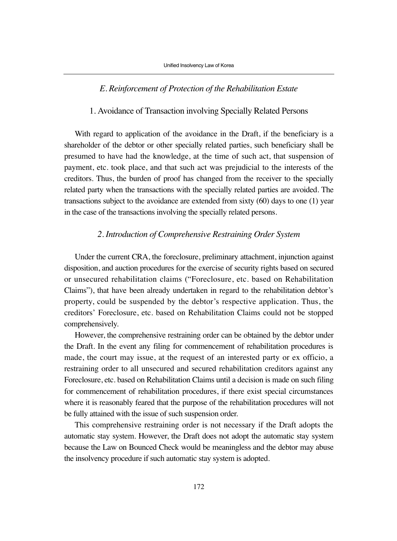#### *E. Reinforcement of Protection of the Rehabilitation Estate*

#### 1. Avoidance of Transaction involving Specially Related Persons

With regard to application of the avoidance in the Draft, if the beneficiary is a shareholder of the debtor or other specially related parties, such beneficiary shall be presumed to have had the knowledge, at the time of such act, that suspension of payment, etc. took place, and that such act was prejudicial to the interests of the creditors. Thus, the burden of proof has changed from the receiver to the specially related party when the transactions with the specially related parties are avoided. The transactions subject to the avoidance are extended from sixty (60) days to one (1) year in the case of the transactions involving the specially related persons.

### *2. Introduction of Comprehensive Restraining Order System*

Under the current CRA, the foreclosure, preliminary attachment, injunction against disposition, and auction procedures for the exercise of security rights based on secured or unsecured rehabilitation claims ("Foreclosure, etc. based on Rehabilitation Claims"), that have been already undertaken in regard to the rehabilitation debtor's property, could be suspended by the debtor's respective application. Thus, the creditors' Foreclosure, etc. based on Rehabilitation Claims could not be stopped comprehensively.

However, the comprehensive restraining order can be obtained by the debtor under the Draft. In the event any filing for commencement of rehabilitation procedures is made, the court may issue, at the request of an interested party or ex officio, a restraining order to all unsecured and secured rehabilitation creditors against any Foreclosure, etc. based on Rehabilitation Claims until a decision is made on such filing for commencement of rehabilitation procedures, if there exist special circumstances where it is reasonably feared that the purpose of the rehabilitation procedures will not be fully attained with the issue of such suspension order.

This comprehensive restraining order is not necessary if the Draft adopts the automatic stay system. However, the Draft does not adopt the automatic stay system because the Law on Bounced Check would be meaningless and the debtor may abuse the insolvency procedure if such automatic stay system is adopted.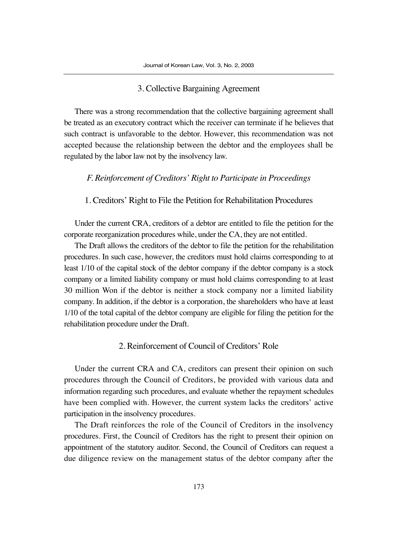### 3. Collective Bargaining Agreement

There was a strong recommendation that the collective bargaining agreement shall be treated as an executory contract which the receiver can terminate if he believes that such contract is unfavorable to the debtor. However, this recommendation was not accepted because the relationship between the debtor and the employees shall be regulated by the labor law not by the insolvency law.

### *F. Reinforcement of Creditors' Right to Participate in Proceedings*

#### 1. Creditors' Right to File the Petition for Rehabilitation Procedures

Under the current CRA, creditors of a debtor are entitled to file the petition for the corporate reorganization procedures while, under the CA, they are not entitled.

The Draft allows the creditors of the debtor to file the petition for the rehabilitation procedures. In such case, however, the creditors must hold claims corresponding to at least 1/10 of the capital stock of the debtor company if the debtor company is a stock company or a limited liability company or must hold claims corresponding to at least 30 million Won if the debtor is neither a stock company nor a limited liability company. In addition, if the debtor is a corporation, the shareholders who have at least 1/10 of the total capital of the debtor company are eligible for filing the petition for the rehabilitation procedure under the Draft.

# 2. Reinforcement of Council of Creditors' Role

Under the current CRA and CA, creditors can present their opinion on such procedures through the Council of Creditors, be provided with various data and information regarding such procedures, and evaluate whether the repayment schedules have been complied with. However, the current system lacks the creditors' active participation in the insolvency procedures.

The Draft reinforces the role of the Council of Creditors in the insolvency procedures. First, the Council of Creditors has the right to present their opinion on appointment of the statutory auditor. Second, the Council of Creditors can request a due diligence review on the management status of the debtor company after the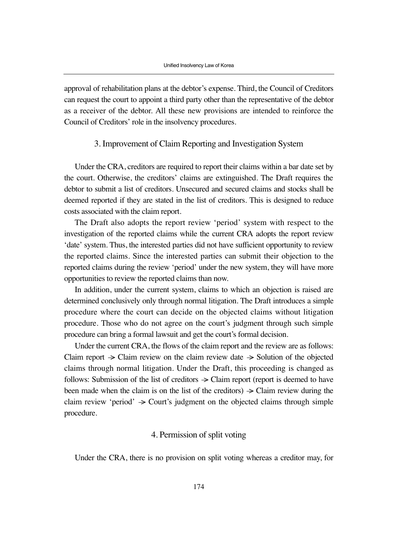approval of rehabilitation plans at the debtor's expense. Third, the Council of Creditors can request the court to appoint a third party other than the representative of the debtor as a receiver of the debtor. All these new provisions are intended to reinforce the Council of Creditors' role in the insolvency procedures.

#### 3. Improvement of Claim Reporting and Investigation System

Under the CRA, creditors are required to report their claims within a bar date set by the court. Otherwise, the creditors' claims are extinguished. The Draft requires the debtor to submit a list of creditors. Unsecured and secured claims and stocks shall be deemed reported if they are stated in the list of creditors. This is designed to reduce costs associated with the claim report.

The Draft also adopts the report review 'period' system with respect to the investigation of the reported claims while the current CRA adopts the report review 'date' system. Thus, the interested parties did not have sufficient opportunity to review the reported claims. Since the interested parties can submit their objection to the reported claims during the review 'period' under the new system, they will have more opportunities to review the reported claims than now.

In addition, under the current system, claims to which an objection is raised are determined conclusively only through normal litigation. The Draft introduces a simple procedure where the court can decide on the objected claims without litigation procedure. Those who do not agree on the court's judgment through such simple procedure can bring a formal lawsuit and get the court's formal decision.

Under the current CRA, the flows of the claim report and the review are as follows: Claim report  $\Rightarrow$  Claim review on the claim review date  $\Rightarrow$  Solution of the objected claims through normal litigation. Under the Draft, this proceeding is changed as follows: Submission of the list of creditors  $\rightarrow$  Claim report (report is deemed to have been made when the claim is on the list of the creditors)  $\Rightarrow$  Claim review during the claim review 'period'  $\rightarrow$  Court's judgment on the objected claims through simple procedure.

#### 4. Permission of split voting

Under the CRA, there is no provision on split voting whereas a creditor may, for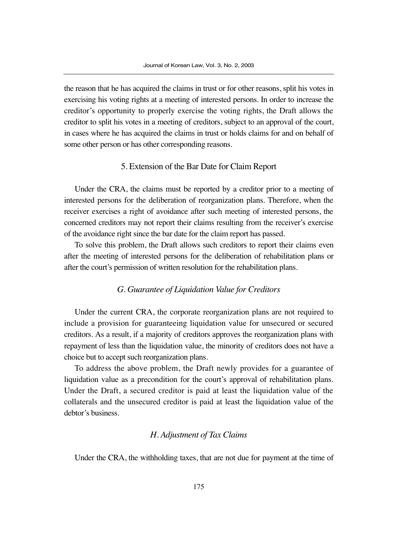the reason that he has acquired the claims in trust or for other reasons, split his votes in exercising his voting rights at a meeting of interested persons. In order to increase the creditor's opportunity to properly exercise the voting rights, the Draft allows the creditor to split his votes in a meeting of creditors, subject to an approval of the court, in cases where he has acquired the claims in trust or holds claims for and on behalf of some other person or has other corresponding reasons.

#### 5. Extension of the Bar Date for Claim Report

Under the CRA, the claims must be reported by a creditor prior to a meeting of interested persons for the deliberation of reorganization plans. Therefore, when the receiver exercises a right of avoidance after such meeting of interested persons, the concerned creditors may not report their claims resulting from the receiver's exercise of the avoidance right since the bar date for the claim report has passed.

To solve this problem, the Draft allows such creditors to report their claims even after the meeting of interested persons for the deliberation of rehabilitation plans or after the court's permission of written resolution for the rehabilitation plans.

# *G. Guarantee of Liquidation Value for Creditors*

Under the current CRA, the corporate reorganization plans are not required to include a provision for guaranteeing liquidation value for unsecured or secured creditors. As a result, if a majority of creditors approves the reorganization plans with repayment of less than the liquidation value, the minority of creditors does not have a choice but to accept such reorganization plans.

To address the above problem, the Draft newly provides for a guarantee of liquidation value as a precondition for the court's approval of rehabilitation plans. Under the Draft, a secured creditor is paid at least the liquidation value of the collaterals and the unsecured creditor is paid at least the liquidation value of the debtor's business.

# *H. Adjustment of Tax Claims*

Under the CRA, the withholding taxes, that are not due for payment at the time of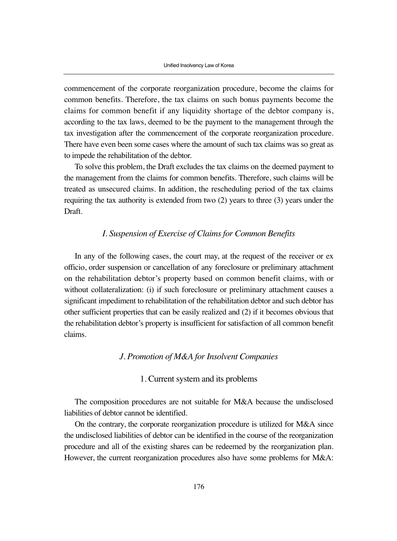commencement of the corporate reorganization procedure, become the claims for common benefits. Therefore, the tax claims on such bonus payments become the claims for common benefit if any liquidity shortage of the debtor company is, according to the tax laws, deemed to be the payment to the management through the tax investigation after the commencement of the corporate reorganization procedure. There have even been some cases where the amount of such tax claims was so great as to impede the rehabilitation of the debtor.

To solve this problem, the Draft excludes the tax claims on the deemed payment to the management from the claims for common benefits. Therefore, such claims will be treated as unsecured claims. In addition, the rescheduling period of the tax claims requiring the tax authority is extended from two (2) years to three (3) years under the Draft.

# *I. Suspension of Exercise of Claims for Common Benefits*

In any of the following cases, the court may, at the request of the receiver or ex officio, order suspension or cancellation of any foreclosure or preliminary attachment on the rehabilitation debtor's property based on common benefit claims, with or without collateralization: (i) if such foreclosure or preliminary attachment causes a significant impediment to rehabilitation of the rehabilitation debtor and such debtor has other sufficient properties that can be easily realized and (2) if it becomes obvious that the rehabilitation debtor's property is insufficient for satisfaction of all common benefit claims.

# *J. Promotion of M&A for Insolvent Companies*

### 1. Current system and its problems

The composition procedures are not suitable for M&A because the undisclosed liabilities of debtor cannot be identified.

On the contrary, the corporate reorganization procedure is utilized for M&A since the undisclosed liabilities of debtor can be identified in the course of the reorganization procedure and all of the existing shares can be redeemed by the reorganization plan. However, the current reorganization procedures also have some problems for M&A: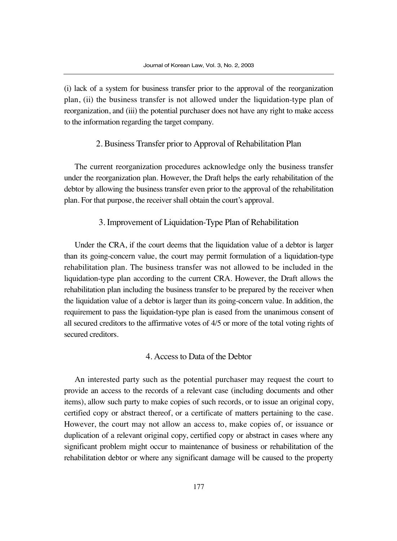(i) lack of a system for business transfer prior to the approval of the reorganization plan, (ii) the business transfer is not allowed under the liquidation-type plan of reorganization, and (iii) the potential purchaser does not have any right to make access to the information regarding the target company.

#### 2. Business Transfer prior to Approval of Rehabilitation Plan

The current reorganization procedures acknowledge only the business transfer under the reorganization plan. However, the Draft helps the early rehabilitation of the debtor by allowing the business transfer even prior to the approval of the rehabilitation plan. For that purpose, the receiver shall obtain the court's approval.

#### 3. Improvement of Liquidation-Type Plan of Rehabilitation

Under the CRA, if the court deems that the liquidation value of a debtor is larger than its going-concern value, the court may permit formulation of a liquidation-type rehabilitation plan. The business transfer was not allowed to be included in the liquidation-type plan according to the current CRA. However, the Draft allows the rehabilitation plan including the business transfer to be prepared by the receiver when the liquidation value of a debtor is larger than its going-concern value. In addition, the requirement to pass the liquidation-type plan is eased from the unanimous consent of all secured creditors to the affirmative votes of 4/5 or more of the total voting rights of secured creditors.

# 4. Access to Data of the Debtor

An interested party such as the potential purchaser may request the court to provide an access to the records of a relevant case (including documents and other items), allow such party to make copies of such records, or to issue an original copy, certified copy or abstract thereof, or a certificate of matters pertaining to the case. However, the court may not allow an access to, make copies of, or issuance or duplication of a relevant original copy, certified copy or abstract in cases where any significant problem might occur to maintenance of business or rehabilitation of the rehabilitation debtor or where any significant damage will be caused to the property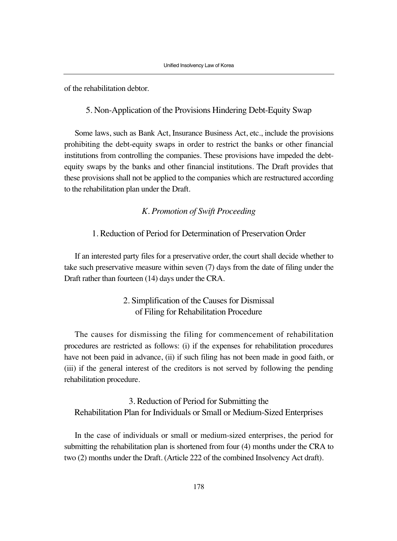of the rehabilitation debtor.

5. Non-Application of the Provisions Hindering Debt-Equity Swap

Some laws, such as Bank Act, Insurance Business Act, etc., include the provisions prohibiting the debt-equity swaps in order to restrict the banks or other financial institutions from controlling the companies. These provisions have impeded the debtequity swaps by the banks and other financial institutions. The Draft provides that these provisions shall not be applied to the companies which are restructured according to the rehabilitation plan under the Draft.

# *K. Promotion of Swift Proceeding*

# 1. Reduction of Period for Determination of Preservation Order

If an interested party files for a preservative order, the court shall decide whether to take such preservative measure within seven (7) days from the date of filing under the Draft rather than fourteen (14) days under the CRA.

# 2. Simplification of the Causes for Dismissal of Filing for Rehabilitation Procedure

The causes for dismissing the filing for commencement of rehabilitation procedures are restricted as follows: (i) if the expenses for rehabilitation procedures have not been paid in advance, (ii) if such filing has not been made in good faith, or (iii) if the general interest of the creditors is not served by following the pending rehabilitation procedure.

3. Reduction of Period for Submitting the Rehabilitation Plan for Individuals or Small or Medium-Sized Enterprises

In the case of individuals or small or medium-sized enterprises, the period for submitting the rehabilitation plan is shortened from four (4) months under the CRA to two (2) months under the Draft. (Article 222 of the combined Insolvency Act draft).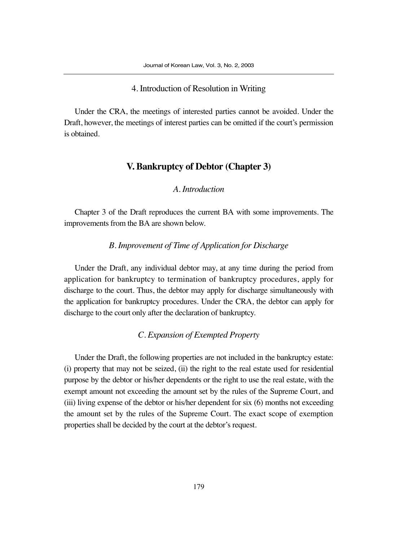# 4. Introduction of Resolution in Writing

Under the CRA, the meetings of interested parties cannot be avoided. Under the Draft, however, the meetings of interest parties can be omitted if the court's permission is obtained.

# **V. Bankruptcy of Debtor (Chapter 3)**

### *A. Introduction*

Chapter 3 of the Draft reproduces the current BA with some improvements. The improvements from the BA are shown below.

### *B. Improvement of Time of Application for Discharge*

Under the Draft, any individual debtor may, at any time during the period from application for bankruptcy to termination of bankruptcy procedures, apply for discharge to the court. Thus, the debtor may apply for discharge simultaneously with the application for bankruptcy procedures. Under the CRA, the debtor can apply for discharge to the court only after the declaration of bankruptcy.

# *C. Expansion of Exempted Property*

Under the Draft, the following properties are not included in the bankruptcy estate: (i) property that may not be seized, (ii) the right to the real estate used for residential purpose by the debtor or his/her dependents or the right to use the real estate, with the exempt amount not exceeding the amount set by the rules of the Supreme Court, and (iii) living expense of the debtor or his/her dependent for six (6) months not exceeding the amount set by the rules of the Supreme Court. The exact scope of exemption properties shall be decided by the court at the debtor's request.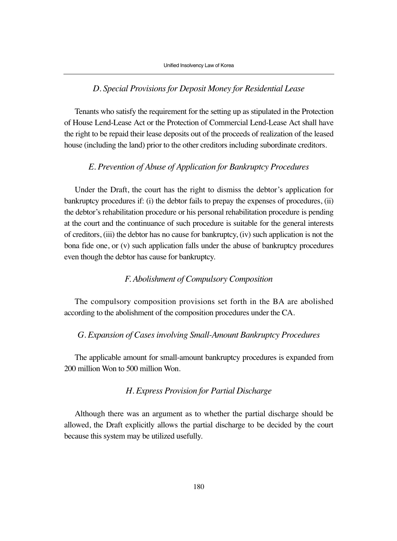# *D. Special Provisions for Deposit Money for Residential Lease*

Tenants who satisfy the requirement for the setting up as stipulated in the Protection of House Lend-Lease Act or the Protection of Commercial Lend-Lease Act shall have the right to be repaid their lease deposits out of the proceeds of realization of the leased house (including the land) prior to the other creditors including subordinate creditors.

### *E. Prevention of Abuse of Application for Bankruptcy Procedures*

Under the Draft, the court has the right to dismiss the debtor's application for bankruptcy procedures if: (i) the debtor fails to prepay the expenses of procedures, (ii) the debtor's rehabilitation procedure or his personal rehabilitation procedure is pending at the court and the continuance of such procedure is suitable for the general interests of creditors, (iii) the debtor has no cause for bankruptcy, (iv) such application is not the bona fide one, or (v) such application falls under the abuse of bankruptcy procedures even though the debtor has cause for bankruptcy.

#### *F. Abolishment of Compulsory Composition*

The compulsory composition provisions set forth in the BA are abolished according to the abolishment of the composition procedures under the CA.

#### *G. Expansion of Cases involving Small-Amount Bankruptcy Procedures*

The applicable amount for small-amount bankruptcy procedures is expanded from 200 million Won to 500 million Won.

#### *H. Express Provision for Partial Discharge*

Although there was an argument as to whether the partial discharge should be allowed, the Draft explicitly allows the partial discharge to be decided by the court because this system may be utilized usefully.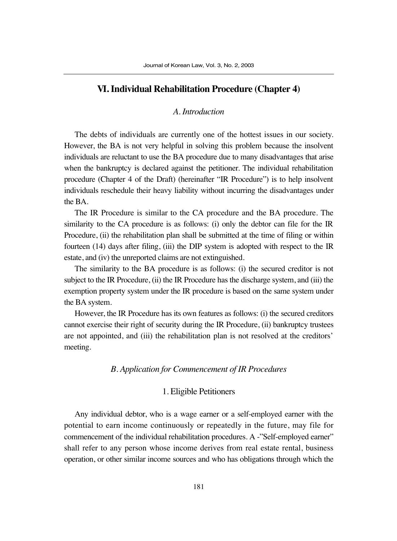# **VI. Individual Rehabilitation Procedure (Chapter 4)**

### *A. Introduction*

The debts of individuals are currently one of the hottest issues in our society. However, the BA is not very helpful in solving this problem because the insolvent individuals are reluctant to use the BA procedure due to many disadvantages that arise when the bankruptcy is declared against the petitioner. The individual rehabilitation procedure (Chapter 4 of the Draft) (hereinafter "IR Procedure") is to help insolvent individuals reschedule their heavy liability without incurring the disadvantages under the BA.

The IR Procedure is similar to the CA procedure and the BA procedure. The similarity to the CA procedure is as follows: (i) only the debtor can file for the IR Procedure, (ii) the rehabilitation plan shall be submitted at the time of filing or within fourteen (14) days after filing, (iii) the DIP system is adopted with respect to the IR estate, and (iv) the unreported claims are not extinguished.

The similarity to the BA procedure is as follows: (i) the secured creditor is not subject to the IR Procedure, (ii) the IR Procedure has the discharge system, and (iii) the exemption property system under the IR procedure is based on the same system under the BA system.

However, the IR Procedure has its own features as follows: (i) the secured creditors cannot exercise their right of security during the IR Procedure, (ii) bankruptcy trustees are not appointed, and (iii) the rehabilitation plan is not resolved at the creditors' meeting.

### *B. Application for Commencement of IR Procedures*

# 1. Eligible Petitioners

Any individual debtor, who is a wage earner or a self-employed earner with the potential to earn income continuously or repeatedly in the future, may file for commencement of the individual rehabilitation procedures. A -"Self-employed earner" shall refer to any person whose income derives from real estate rental, business operation, or other similar income sources and who has obligations through which the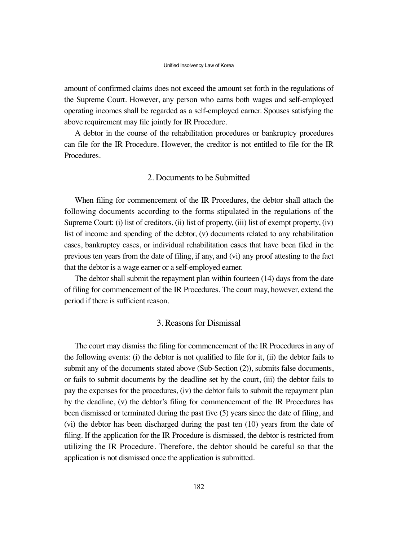amount of confirmed claims does not exceed the amount set forth in the regulations of the Supreme Court. However, any person who earns both wages and self-employed operating incomes shall be regarded as a self-employed earner. Spouses satisfying the above requirement may file jointly for IR Procedure.

A debtor in the course of the rehabilitation procedures or bankruptcy procedures can file for the IR Procedure. However, the creditor is not entitled to file for the IR Procedures.

#### 2. Documents to be Submitted

When filing for commencement of the IR Procedures, the debtor shall attach the following documents according to the forms stipulated in the regulations of the Supreme Court: (i) list of creditors, (ii) list of property, (iii) list of exempt property, (iv) list of income and spending of the debtor, (v) documents related to any rehabilitation cases, bankruptcy cases, or individual rehabilitation cases that have been filed in the previous ten years from the date of filing, if any, and (vi) any proof attesting to the fact that the debtor is a wage earner or a self-employed earner.

The debtor shall submit the repayment plan within fourteen (14) days from the date of filing for commencement of the IR Procedures. The court may, however, extend the period if there is sufficient reason.

# 3. Reasons for Dismissal

The court may dismiss the filing for commencement of the IR Procedures in any of the following events: (i) the debtor is not qualified to file for it, (ii) the debtor fails to submit any of the documents stated above (Sub-Section (2)), submits false documents, or fails to submit documents by the deadline set by the court, (iii) the debtor fails to pay the expenses for the procedures, (iv) the debtor fails to submit the repayment plan by the deadline, (v) the debtor's filing for commencement of the IR Procedures has been dismissed or terminated during the past five (5) years since the date of filing, and (vi) the debtor has been discharged during the past ten (10) years from the date of filing. If the application for the IR Procedure is dismissed, the debtor is restricted from utilizing the IR Procedure. Therefore, the debtor should be careful so that the application is not dismissed once the application is submitted.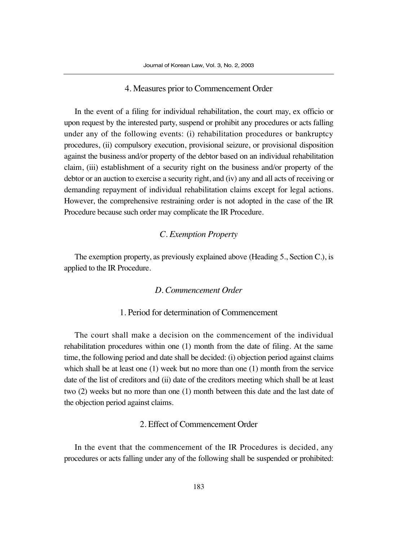#### 4. Measures prior to Commencement Order

In the event of a filing for individual rehabilitation, the court may, ex officio or upon request by the interested party, suspend or prohibit any procedures or acts falling under any of the following events: (i) rehabilitation procedures or bankruptcy procedures, (ii) compulsory execution, provisional seizure, or provisional disposition against the business and/or property of the debtor based on an individual rehabilitation claim, (iii) establishment of a security right on the business and/or property of the debtor or an auction to exercise a security right, and (iv) any and all acts of receiving or demanding repayment of individual rehabilitation claims except for legal actions. However, the comprehensive restraining order is not adopted in the case of the IR Procedure because such order may complicate the IR Procedure.

# *C. Exemption Property*

The exemption property, as previously explained above (Heading 5., Section C.), is applied to the IR Procedure.

### *D. Commencement Order*

# 1. Period for determination of Commencement

The court shall make a decision on the commencement of the individual rehabilitation procedures within one (1) month from the date of filing. At the same time, the following period and date shall be decided: (i) objection period against claims which shall be at least one (1) week but no more than one (1) month from the service date of the list of creditors and (ii) date of the creditors meeting which shall be at least two (2) weeks but no more than one (1) month between this date and the last date of the objection period against claims.

# 2. Effect of Commencement Order

In the event that the commencement of the IR Procedures is decided, any procedures or acts falling under any of the following shall be suspended or prohibited: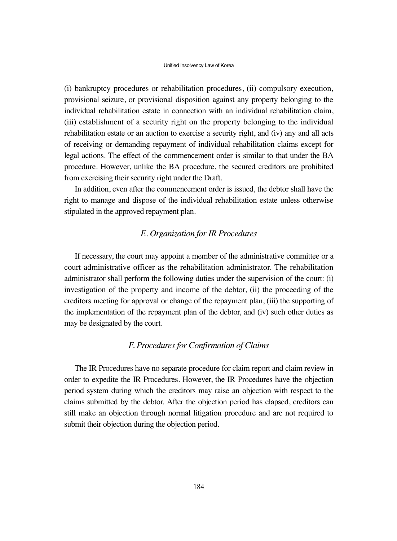(i) bankruptcy procedures or rehabilitation procedures, (ii) compulsory execution, provisional seizure, or provisional disposition against any property belonging to the individual rehabilitation estate in connection with an individual rehabilitation claim, (iii) establishment of a security right on the property belonging to the individual rehabilitation estate or an auction to exercise a security right, and (iv) any and all acts of receiving or demanding repayment of individual rehabilitation claims except for legal actions. The effect of the commencement order is similar to that under the BA procedure. However, unlike the BA procedure, the secured creditors are prohibited from exercising their security right under the Draft.

In addition, even after the commencement order is issued, the debtor shall have the right to manage and dispose of the individual rehabilitation estate unless otherwise stipulated in the approved repayment plan.

### *E. Organization for IR Procedures*

If necessary, the court may appoint a member of the administrative committee or a court administrative officer as the rehabilitation administrator. The rehabilitation administrator shall perform the following duties under the supervision of the court: (i) investigation of the property and income of the debtor, (ii) the proceeding of the creditors meeting for approval or change of the repayment plan, (iii) the supporting of the implementation of the repayment plan of the debtor, and (iv) such other duties as may be designated by the court.

# *F. Procedures for Confirmation of Claims*

The IR Procedures have no separate procedure for claim report and claim review in order to expedite the IR Procedures. However, the IR Procedures have the objection period system during which the creditors may raise an objection with respect to the claims submitted by the debtor. After the objection period has elapsed, creditors can still make an objection through normal litigation procedure and are not required to submit their objection during the objection period.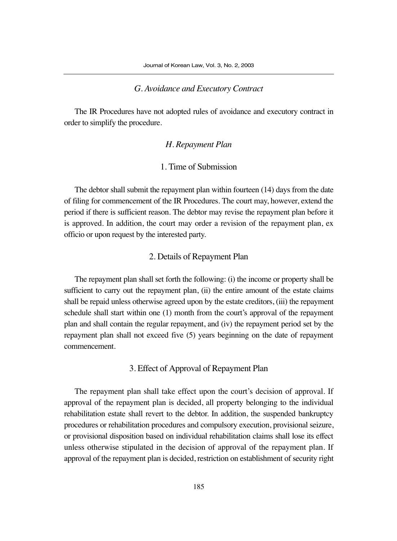#### *G. Avoidance and Executory Contract*

The IR Procedures have not adopted rules of avoidance and executory contract in order to simplify the procedure.

### *H. Repayment Plan*

# 1. Time of Submission

The debtor shall submit the repayment plan within fourteen (14) days from the date of filing for commencement of the IR Procedures. The court may, however, extend the period if there is sufficient reason. The debtor may revise the repayment plan before it is approved. In addition, the court may order a revision of the repayment plan, ex officio or upon request by the interested party.

#### 2. Details of Repayment Plan

The repayment plan shall set forth the following: (i) the income or property shall be sufficient to carry out the repayment plan, (ii) the entire amount of the estate claims shall be repaid unless otherwise agreed upon by the estate creditors, (iii) the repayment schedule shall start within one (1) month from the court's approval of the repayment plan and shall contain the regular repayment, and (iv) the repayment period set by the repayment plan shall not exceed five (5) years beginning on the date of repayment commencement.

#### 3. Effect of Approval of Repayment Plan

The repayment plan shall take effect upon the court's decision of approval. If approval of the repayment plan is decided, all property belonging to the individual rehabilitation estate shall revert to the debtor. In addition, the suspended bankruptcy procedures or rehabilitation procedures and compulsory execution, provisional seizure, or provisional disposition based on individual rehabilitation claims shall lose its effect unless otherwise stipulated in the decision of approval of the repayment plan. If approval of the repayment plan is decided, restriction on establishment of security right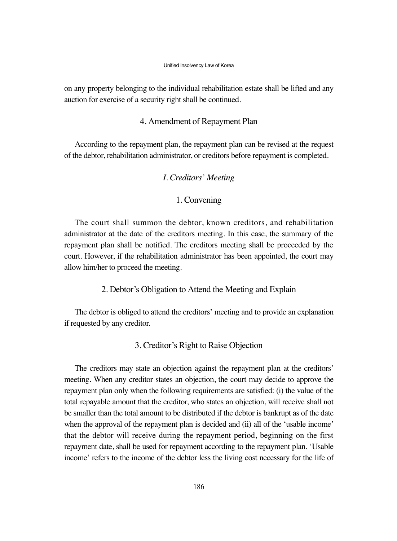on any property belonging to the individual rehabilitation estate shall be lifted and any auction for exercise of a security right shall be continued.

#### 4. Amendment of Repayment Plan

According to the repayment plan, the repayment plan can be revised at the request of the debtor, rehabilitation administrator, or creditors before repayment is completed.

### *I. Creditors' Meeting*

#### 1. Convening

The court shall summon the debtor, known creditors, and rehabilitation administrator at the date of the creditors meeting. In this case, the summary of the repayment plan shall be notified. The creditors meeting shall be proceeded by the court. However, if the rehabilitation administrator has been appointed, the court may allow him/her to proceed the meeting.

2. Debtor's Obligation to Attend the Meeting and Explain

The debtor is obliged to attend the creditors' meeting and to provide an explanation if requested by any creditor.

#### 3. Creditor's Right to Raise Objection

The creditors may state an objection against the repayment plan at the creditors' meeting. When any creditor states an objection, the court may decide to approve the repayment plan only when the following requirements are satisfied: (i) the value of the total repayable amount that the creditor, who states an objection, will receive shall not be smaller than the total amount to be distributed if the debtor is bankrupt as of the date when the approval of the repayment plan is decided and (ii) all of the 'usable income' that the debtor will receive during the repayment period, beginning on the first repayment date, shall be used for repayment according to the repayment plan. 'Usable income' refers to the income of the debtor less the living cost necessary for the life of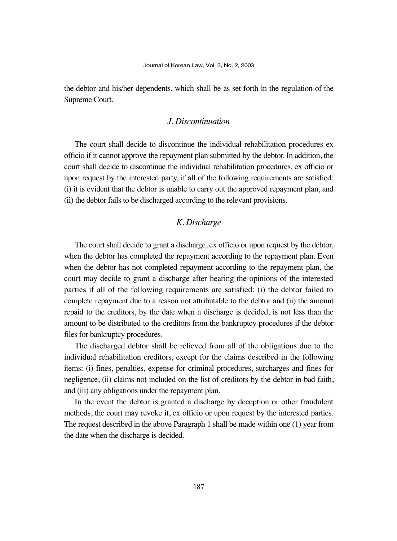the debtor and his/her dependents, which shall be as set forth in the regulation of the Supreme Court.

#### *J. Discontinuation*

The court shall decide to discontinue the individual rehabilitation procedures ex officio if it cannot approve the repayment plan submitted by the debtor. In addition, the court shall decide to discontinue the individual rehabilitation procedures, ex officio or upon request by the interested party, if all of the following requirements are satisfied: (i) it is evident that the debtor is unable to carry out the approved repayment plan, and (ii) the debtor fails to be discharged according to the relevant provisions.

### *K. Discharge*

The court shall decide to grant a discharge, ex officio or upon request by the debtor, when the debtor has completed the repayment according to the repayment plan. Even when the debtor has not completed repayment according to the repayment plan, the court may decide to grant a discharge after hearing the opinions of the interested parties if all of the following requirements are satisfied: (i) the debtor failed to complete repayment due to a reason not attributable to the debtor and (ii) the amount repaid to the creditors, by the date when a discharge is decided, is not less than the amount to be distributed to the creditors from the bankruptcy procedures if the debtor files for bankruptcy procedures.

The discharged debtor shall be relieved from all of the obligations due to the individual rehabilitation creditors, except for the claims described in the following items: (i) fines, penalties, expense for criminal procedures, surcharges and fines for negligence, (ii) claims not included on the list of creditors by the debtor in bad faith, and (iii) any obligations under the repayment plan.

In the event the debtor is granted a discharge by deception or other fraudulent methods, the court may revoke it, ex officio or upon request by the interested parties. The request described in the above Paragraph 1 shall be made within one (1) year from the date when the discharge is decided.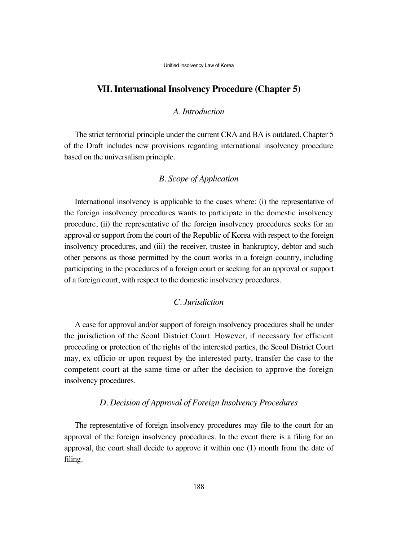# **VII. International Insolvency Procedure (Chapter 5)**

#### *A. Introduction*

The strict territorial principle under the current CRA and BA is outdated. Chapter 5 of the Draft includes new provisions regarding international insolvency procedure based on the universalism principle.

#### *B. Scope of Application*

International insolvency is applicable to the cases where: (i) the representative of the foreign insolvency procedures wants to participate in the domestic insolvency procedure, (ii) the representative of the foreign insolvency procedures seeks for an approval or support from the court of the Republic of Korea with respect to the foreign insolvency procedures, and (iii) the receiver, trustee in bankruptcy, debtor and such other persons as those permitted by the court works in a foreign country, including participating in the procedures of a foreign court or seeking for an approval or support of a foreign court, with respect to the domestic insolvency procedures.

# *C. Jurisdiction*

A case for approval and/or support of foreign insolvency procedures shall be under the jurisdiction of the Seoul District Court. However, if necessary for efficient proceeding or protection of the rights of the interested parties, the Seoul District Court may, ex officio or upon request by the interested party, transfer the case to the competent court at the same time or after the decision to approve the foreign insolvency procedures.

# *D. Decision of Approval of Foreign Insolvency Procedures*

The representative of foreign insolvency procedures may file to the court for an approval of the foreign insolvency procedures. In the event there is a filing for an approval, the court shall decide to approve it within one (1) month from the date of filing.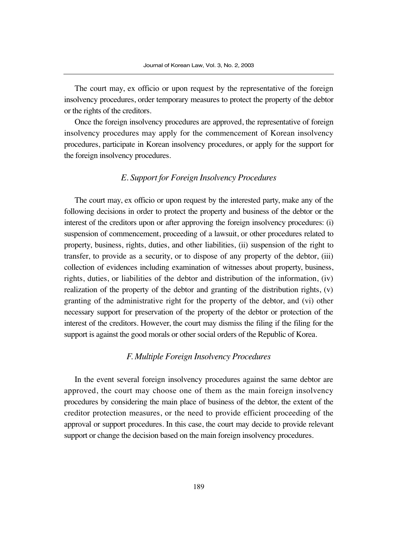The court may, ex officio or upon request by the representative of the foreign insolvency procedures, order temporary measures to protect the property of the debtor or the rights of the creditors.

Once the foreign insolvency procedures are approved, the representative of foreign insolvency procedures may apply for the commencement of Korean insolvency procedures, participate in Korean insolvency procedures, or apply for the support for the foreign insolvency procedures.

#### *E. Support for Foreign Insolvency Procedures*

The court may, ex officio or upon request by the interested party, make any of the following decisions in order to protect the property and business of the debtor or the interest of the creditors upon or after approving the foreign insolvency procedures: (i) suspension of commencement, proceeding of a lawsuit, or other procedures related to property, business, rights, duties, and other liabilities, (ii) suspension of the right to transfer, to provide as a security, or to dispose of any property of the debtor, (iii) collection of evidences including examination of witnesses about property, business, rights, duties, or liabilities of the debtor and distribution of the information, (iv) realization of the property of the debtor and granting of the distribution rights, (v) granting of the administrative right for the property of the debtor, and (vi) other necessary support for preservation of the property of the debtor or protection of the interest of the creditors. However, the court may dismiss the filing if the filing for the support is against the good morals or other social orders of the Republic of Korea.

### *F. Multiple Foreign Insolvency Procedures*

In the event several foreign insolvency procedures against the same debtor are approved, the court may choose one of them as the main foreign insolvency procedures by considering the main place of business of the debtor, the extent of the creditor protection measures, or the need to provide efficient proceeding of the approval or support procedures. In this case, the court may decide to provide relevant support or change the decision based on the main foreign insolvency procedures.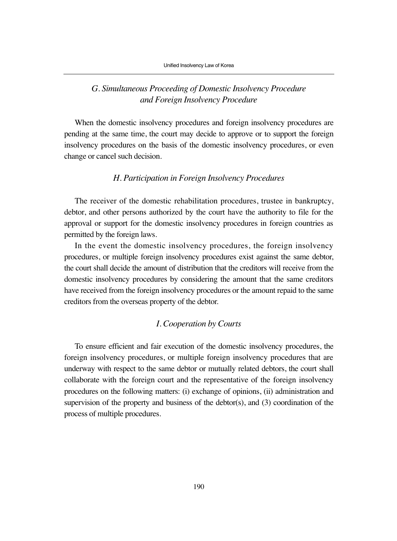# *G. Simultaneous Proceeding of Domestic Insolvency Procedure and Foreign Insolvency Procedure*

When the domestic insolvency procedures and foreign insolvency procedures are pending at the same time, the court may decide to approve or to support the foreign insolvency procedures on the basis of the domestic insolvency procedures, or even change or cancel such decision.

#### *H. Participation in Foreign Insolvency Procedures*

The receiver of the domestic rehabilitation procedures, trustee in bankruptcy, debtor, and other persons authorized by the court have the authority to file for the approval or support for the domestic insolvency procedures in foreign countries as permitted by the foreign laws.

In the event the domestic insolvency procedures, the foreign insolvency procedures, or multiple foreign insolvency procedures exist against the same debtor, the court shall decide the amount of distribution that the creditors will receive from the domestic insolvency procedures by considering the amount that the same creditors have received from the foreign insolvency procedures or the amount repaid to the same creditors from the overseas property of the debtor.

### *I. Cooperation by Courts*

To ensure efficient and fair execution of the domestic insolvency procedures, the foreign insolvency procedures, or multiple foreign insolvency procedures that are underway with respect to the same debtor or mutually related debtors, the court shall collaborate with the foreign court and the representative of the foreign insolvency procedures on the following matters: (i) exchange of opinions, (ii) administration and supervision of the property and business of the debtor(s), and (3) coordination of the process of multiple procedures.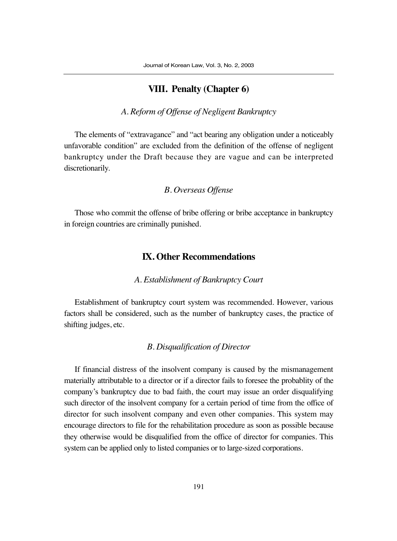# **VIII. Penalty (Chapter 6)**

*A. Reform of Offense of Negligent Bankruptcy*

The elements of "extravagance" and "act bearing any obligation under a noticeably unfavorable condition" are excluded from the definition of the offense of negligent bankruptcy under the Draft because they are vague and can be interpreted discretionarily.

#### *B. Overseas Offense*

Those who commit the offense of bribe offering or bribe acceptance in bankruptcy in foreign countries are criminally punished.

# **IX. Other Recommendations**

#### *A. Establishment of Bankruptcy Court*

Establishment of bankruptcy court system was recommended. However, various factors shall be considered, such as the number of bankruptcy cases, the practice of shifting judges, etc.

#### *B. Disqualification of Director*

If financial distress of the insolvent company is caused by the mismanagement materially attributable to a director or if a director fails to foresee the probablity of the company's bankruptcy due to bad faith, the court may issue an order disqualifying such director of the insolvent company for a certain period of time from the office of director for such insolvent company and even other companies. This system may encourage directors to file for the rehabilitation procedure as soon as possible because they otherwise would be disqualified from the office of director for companies. This system can be applied only to listed companies or to large-sized corporations.